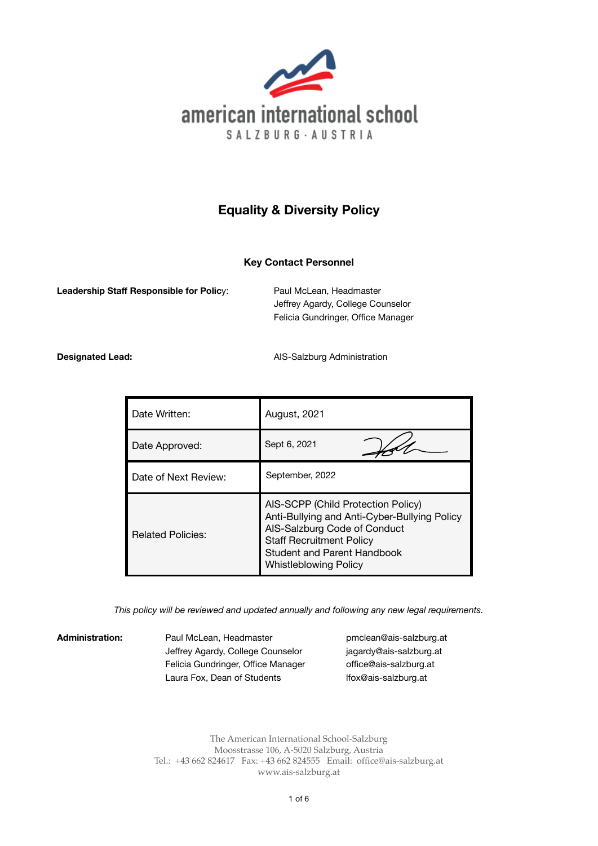

# **Equality & Diversity Policy**

# **Key Contact Personnel**

**Leadership Staff Responsible for Policy:** Paul McLean, Headmaster

 Jeffrey Agardy, College Counselor Felicia Gundringer, Office Manager

**Designated Lead: Designated Lead: AIS-Salzburg Administration** 

| Date Written:            | August, 2021                                                                                                                                                                                                                |
|--------------------------|-----------------------------------------------------------------------------------------------------------------------------------------------------------------------------------------------------------------------------|
| Date Approved:           | Sept 6, 2021                                                                                                                                                                                                                |
| Date of Next Review:     | September, 2022                                                                                                                                                                                                             |
| <b>Related Policies:</b> | AIS-SCPP (Child Protection Policy)<br>Anti-Bullying and Anti-Cyber-Bullying Policy<br>AIS-Salzburg Code of Conduct<br><b>Staff Recruitment Policy</b><br><b>Student and Parent Handbook</b><br><b>Whistleblowing Policy</b> |

*This policy will be reviewed and updated annually and following any new legal requirements.* 

Administration: Paul McLean, Headmaster **business and a [pmclean@ais-salzburg.at](mailto:pmclean@ais-salzburg.at)** Jeffrey Agardy, College Counselor *iagardy@ais-salzburg.at* Felicia Gundringer, Office Manager **offi[ce@ais-salzburg.at](mailto:office@ais-salzburg.at)** Laura Fox, Dean of Students **Ifox@ais-salzburg.at** 

The American International School-Salzburg Moosstrasse 106, A-5020 Salzburg, Austria Tel.: +43 662 824617 Fax: +43 662 824555 Email: [office@ais-salzburg.at](mailto:office@ais-salzburg.at) www.ais-salzburg.at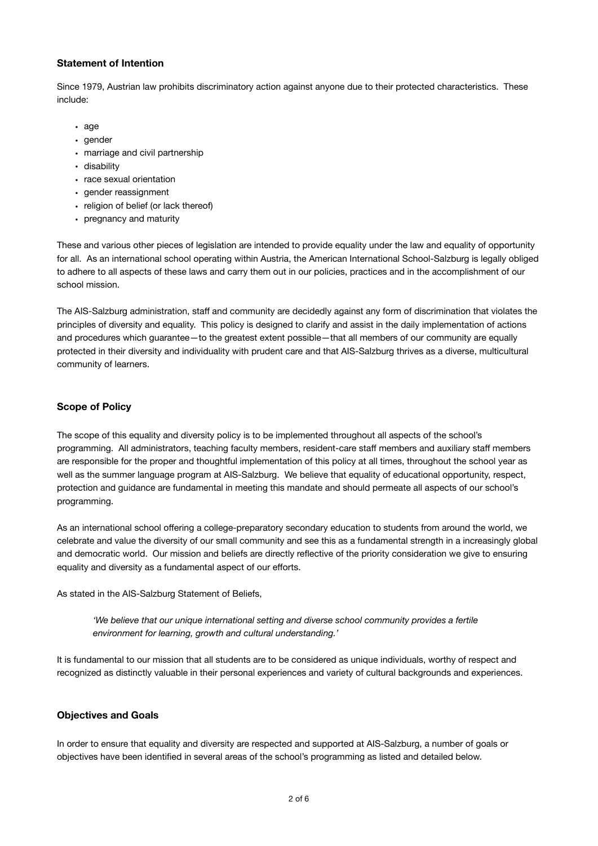#### **Statement of Intention**

Since 1979, Austrian law prohibits discriminatory action against anyone due to their protected characteristics. These include:

- age
- gender
- marriage and civil partnership
- disability
- race sexual orientation
- gender reassignment
- religion of belief (or lack thereof)
- pregnancy and maturity

These and various other pieces of legislation are intended to provide equality under the law and equality of opportunity for all. As an international school operating within Austria, the American International School-Salzburg is legally obliged to adhere to all aspects of these laws and carry them out in our policies, practices and in the accomplishment of our school mission.

The AIS-Salzburg administration, staff and community are decidedly against any form of discrimination that violates the principles of diversity and equality. This policy is designed to clarify and assist in the daily implementation of actions and procedures which guarantee—to the greatest extent possible—that all members of our community are equally protected in their diversity and individuality with prudent care and that AIS-Salzburg thrives as a diverse, multicultural community of learners.

# **Scope of Policy**

The scope of this equality and diversity policy is to be implemented throughout all aspects of the school's programming. All administrators, teaching faculty members, resident-care staff members and auxiliary staff members are responsible for the proper and thoughtful implementation of this policy at all times, throughout the school year as well as the summer language program at AIS-Salzburg. We believe that equality of educational opportunity, respect, protection and guidance are fundamental in meeting this mandate and should permeate all aspects of our school's programming.

As an international school offering a college-preparatory secondary education to students from around the world, we celebrate and value the diversity of our small community and see this as a fundamental strength in a increasingly global and democratic world. Our mission and beliefs are directly reflective of the priority consideration we give to ensuring equality and diversity as a fundamental aspect of our efforts.

As stated in the AIS-Salzburg Statement of Beliefs,

*'We believe that our unique international setting and diverse school community provides a fertile environment for learning, growth and cultural understanding.'* 

It is fundamental to our mission that all students are to be considered as unique individuals, worthy of respect and recognized as distinctly valuable in their personal experiences and variety of cultural backgrounds and experiences.

# **Objectives and Goals**

In order to ensure that equality and diversity are respected and supported at AIS-Salzburg, a number of goals or objectives have been identified in several areas of the school's programming as listed and detailed below.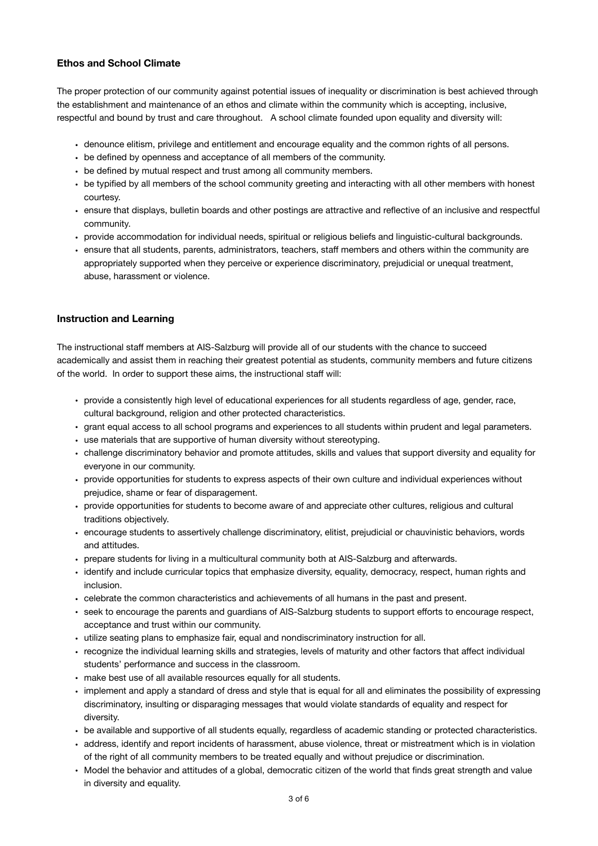#### **Ethos and School Climate**

The proper protection of our community against potential issues of inequality or discrimination is best achieved through the establishment and maintenance of an ethos and climate within the community which is accepting, inclusive, respectful and bound by trust and care throughout. A school climate founded upon equality and diversity will:

- denounce elitism, privilege and entitlement and encourage equality and the common rights of all persons.
- be defined by openness and acceptance of all members of the community.
- be defined by mutual respect and trust among all community members.
- be typified by all members of the school community greeting and interacting with all other members with honest courtesy.
- ensure that displays, bulletin boards and other postings are attractive and reflective of an inclusive and respectful community.
- provide accommodation for individual needs, spiritual or religious beliefs and linguistic-cultural backgrounds.
- ensure that all students, parents, administrators, teachers, staff members and others within the community are appropriately supported when they perceive or experience discriminatory, prejudicial or unequal treatment, abuse, harassment or violence.

#### **Instruction and Learning**

The instructional staff members at AIS-Salzburg will provide all of our students with the chance to succeed academically and assist them in reaching their greatest potential as students, community members and future citizens of the world. In order to support these aims, the instructional staff will:

- provide a consistently high level of educational experiences for all students regardless of age, gender, race, cultural background, religion and other protected characteristics.
- grant equal access to all school programs and experiences to all students within prudent and legal parameters.
- use materials that are supportive of human diversity without stereotyping.
- challenge discriminatory behavior and promote attitudes, skills and values that support diversity and equality for everyone in our community.
- provide opportunities for students to express aspects of their own culture and individual experiences without prejudice, shame or fear of disparagement.
- provide opportunities for students to become aware of and appreciate other cultures, religious and cultural traditions objectively.
- encourage students to assertively challenge discriminatory, elitist, prejudicial or chauvinistic behaviors, words and attitudes.
- prepare students for living in a multicultural community both at AIS-Salzburg and afterwards.
- identify and include curricular topics that emphasize diversity, equality, democracy, respect, human rights and inclusion.
- celebrate the common characteristics and achievements of all humans in the past and present.
- seek to encourage the parents and guardians of AIS-Salzburg students to support efforts to encourage respect, acceptance and trust within our community.
- utilize seating plans to emphasize fair, equal and nondiscriminatory instruction for all.
- recognize the individual learning skills and strategies, levels of maturity and other factors that affect individual students' performance and success in the classroom.
- make best use of all available resources equally for all students.
- implement and apply a standard of dress and style that is equal for all and eliminates the possibility of expressing discriminatory, insulting or disparaging messages that would violate standards of equality and respect for diversity.
- be available and supportive of all students equally, regardless of academic standing or protected characteristics.
- address, identify and report incidents of harassment, abuse violence, threat or mistreatment which is in violation of the right of all community members to be treated equally and without prejudice or discrimination.
- Model the behavior and attitudes of a global, democratic citizen of the world that finds great strength and value in diversity and equality.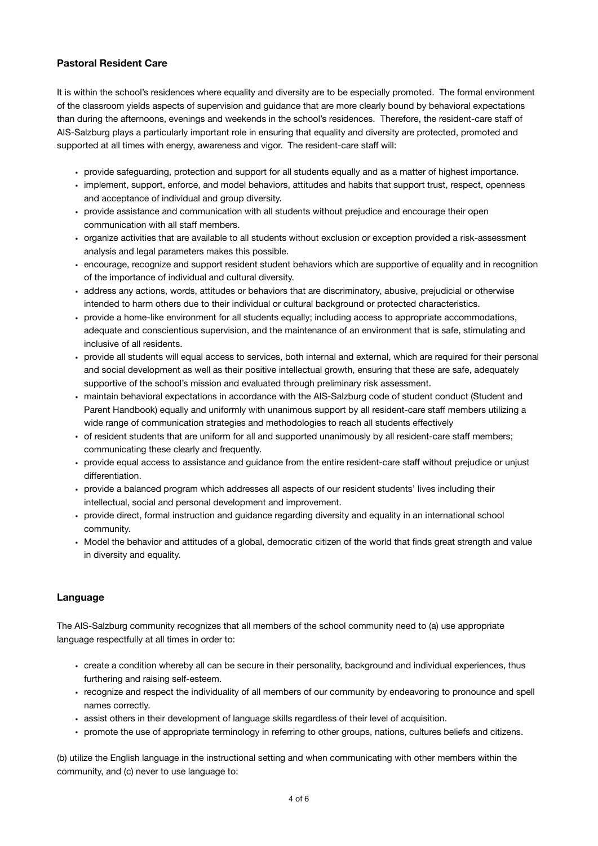# **Pastoral Resident Care**

It is within the school's residences where equality and diversity are to be especially promoted. The formal environment of the classroom yields aspects of supervision and guidance that are more clearly bound by behavioral expectations than during the afternoons, evenings and weekends in the school's residences. Therefore, the resident-care staff of AIS-Salzburg plays a particularly important role in ensuring that equality and diversity are protected, promoted and supported at all times with energy, awareness and vigor. The resident-care staff will:

- provide safeguarding, protection and support for all students equally and as a matter of highest importance.
- implement, support, enforce, and model behaviors, attitudes and habits that support trust, respect, openness and acceptance of individual and group diversity.
- provide assistance and communication with all students without prejudice and encourage their open communication with all staff members.
- organize activities that are available to all students without exclusion or exception provided a risk-assessment analysis and legal parameters makes this possible.
- encourage, recognize and support resident student behaviors which are supportive of equality and in recognition of the importance of individual and cultural diversity.
- address any actions, words, attitudes or behaviors that are discriminatory, abusive, prejudicial or otherwise intended to harm others due to their individual or cultural background or protected characteristics.
- provide a home-like environment for all students equally; including access to appropriate accommodations, adequate and conscientious supervision, and the maintenance of an environment that is safe, stimulating and inclusive of all residents.
- provide all students will equal access to services, both internal and external, which are required for their personal and social development as well as their positive intellectual growth, ensuring that these are safe, adequately supportive of the school's mission and evaluated through preliminary risk assessment.
- maintain behavioral expectations in accordance with the AIS-Salzburg code of student conduct (Student and Parent Handbook) equally and uniformly with unanimous support by all resident-care staff members utilizing a wide range of communication strategies and methodologies to reach all students effectively
- of resident students that are uniform for all and supported unanimously by all resident-care staff members; communicating these clearly and frequently.
- provide equal access to assistance and guidance from the entire resident-care staff without prejudice or unjust differentiation.
- provide a balanced program which addresses all aspects of our resident students' lives including their intellectual, social and personal development and improvement.
- provide direct, formal instruction and guidance regarding diversity and equality in an international school community.
- Model the behavior and attitudes of a global, democratic citizen of the world that finds great strength and value in diversity and equality.

# **Language**

The AIS-Salzburg community recognizes that all members of the school community need to (a) use appropriate language respectfully at all times in order to:

- create a condition whereby all can be secure in their personality, background and individual experiences, thus furthering and raising self-esteem.
- recognize and respect the individuality of all members of our community by endeavoring to pronounce and spell names correctly.
- assist others in their development of language skills regardless of their level of acquisition.
- promote the use of appropriate terminology in referring to other groups, nations, cultures beliefs and citizens.

(b) utilize the English language in the instructional setting and when communicating with other members within the community, and (c) never to use language to: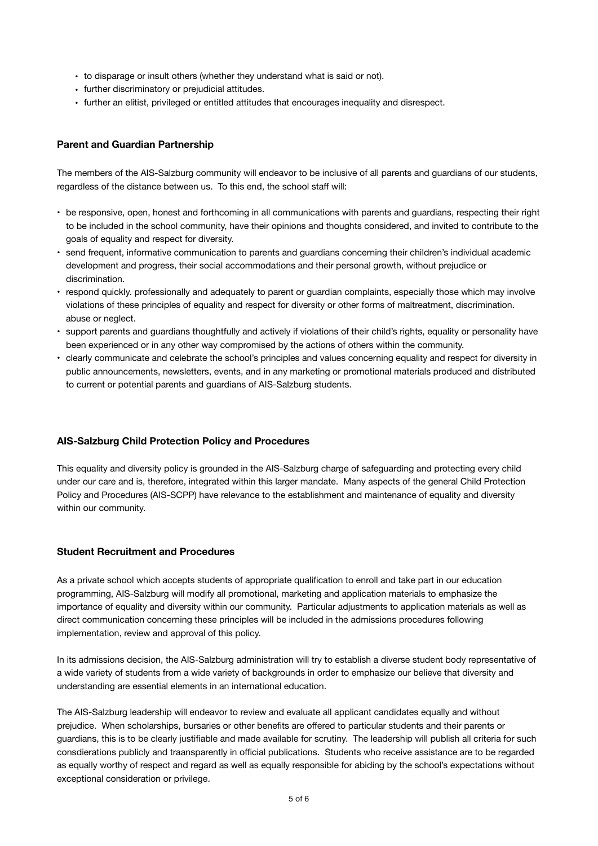- to disparage or insult others (whether they understand what is said or not).
- further discriminatory or prejudicial attitudes.
- further an elitist, privileged or entitled attitudes that encourages inequality and disrespect.

# **Parent and Guardian Partnership**

The members of the AIS-Salzburg community will endeavor to be inclusive of all parents and guardians of our students, regardless of the distance between us. To this end, the school staff will:

- be responsive, open, honest and forthcoming in all communications with parents and guardians, respecting their right to be included in the school community, have their opinions and thoughts considered, and invited to contribute to the goals of equality and respect for diversity.
- send frequent, informative communication to parents and guardians concerning their children's individual academic development and progress, their social accommodations and their personal growth, without prejudice or discrimination.
- respond quickly. professionally and adequately to parent or guardian complaints, especially those which may involve violations of these principles of equality and respect for diversity or other forms of maltreatment, discrimination. abuse or neglect.
- support parents and guardians thoughtfully and actively if violations of their child's rights, equality or personality have been experienced or in any other way compromised by the actions of others within the community.
- clearly communicate and celebrate the school's principles and values concerning equality and respect for diversity in public announcements, newsletters, events, and in any marketing or promotional materials produced and distributed to current or potential parents and guardians of AIS-Salzburg students.

# **AIS-Salzburg Child Protection Policy and Procedures**

This equality and diversity policy is grounded in the AIS-Salzburg charge of safeguarding and protecting every child under our care and is, therefore, integrated within this larger mandate. Many aspects of the general Child Protection Policy and Procedures (AIS-SCPP) have relevance to the establishment and maintenance of equality and diversity within our community.

#### **Student Recruitment and Procedures**

As a private school which accepts students of appropriate qualification to enroll and take part in our education programming, AIS-Salzburg will modify all promotional, marketing and application materials to emphasize the importance of equality and diversity within our community. Particular adjustments to application materials as well as direct communication concerning these principles will be included in the admissions procedures following implementation, review and approval of this policy.

In its admissions decision, the AIS-Salzburg administration will try to establish a diverse student body representative of a wide variety of students from a wide variety of backgrounds in order to emphasize our believe that diversity and understanding are essential elements in an international education.

The AIS-Salzburg leadership will endeavor to review and evaluate all applicant candidates equally and without prejudice. When scholarships, bursaries or other benefits are offered to particular students and their parents or guardians, this is to be clearly justifiable and made available for scrutiny. The leadership will publish all criteria for such consdierations publicly and traansparently in official publications. Students who receive assistance are to be regarded as equally worthy of respect and regard as well as equally responsible for abiding by the school's expectations without exceptional consideration or privilege.